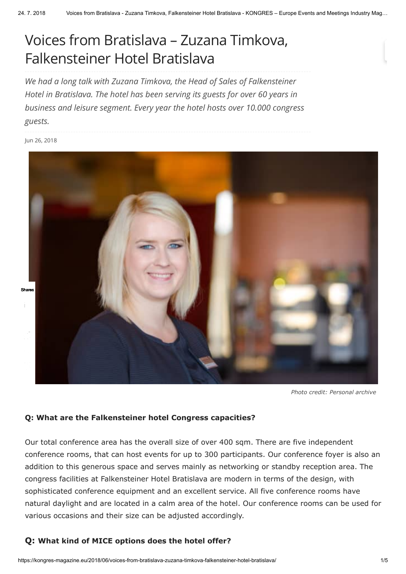# Voices from Bratislava – Zuzana Timkova, [Falkensteiner](javascript:void(0);) Hotel Bratislava

*We had a long talk with Zuzana Timkova, the Head of Sales of Falkensteiner Hotel in Bratislava. The hotel has been serving its guests for over 60 years in business and leisure segment. Every year the hotel hosts over 10.000 congress guests.*

Jun 26, 2018



*Photo credit: Personal archive*

#### **Q: What are the Falkensteiner hotel Congress capacities?**

Our total conference area has the overall size of over 400 sqm. There are five independent conference rooms, that can host events for up to 300 participants. Our conference foyer is also an addition to this generous space and serves mainly as networking or standby reception area. The congress facilities at Falkensteiner Hotel Bratislava are modern in terms of the design, with sophisticated conference equipment and an excellent service. All five conference rooms have natural daylight and are located in a calm area of the hotel. Our conference rooms can be used for various occasions and their size can be adjusted accordingly.

## **Q: What kind of MICE options does the hotel offer?**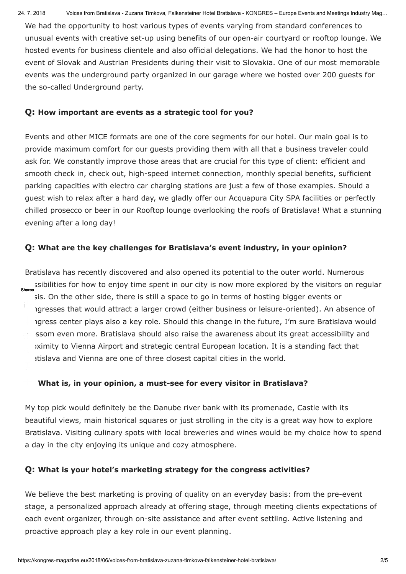We had the opportunity to host various types of events varying from standard conferences to unusual events with creative set-up using benefits of our open-air courtyard or rooftop lounge. We hosted events for business clientele and also official delegations. We had the honor to host the event of Slovak and Austrian Presidents during their visit to Slovakia. One of our most memorable events was the underground party organized in our garage where we hosted over 200 guests for the so-called Underground party.

## **Q: How important are events as a strategic tool for you?**

Events and other MICE formats are one of the core segments for our hotel. Our main goal is to provide maximum comfort for our guests providing them with all that a business traveler could ask for. We constantly improve those areas that are crucial for this type of client: efficient and smooth check in, check out, high-speed internet connection, monthly special benefits, sufficient parking capacities with electro car charging stations are just a few of those examples. Should a guest wish to relax after a hard day, we gladly offer our Acquapura City SPA facilities or perfectly chilled prosecco or beer in our Rooftop lounge overlooking the roofs of Bratislava! What a stunning evening after a long day!

# **Q: What are the key challenges for Bratislava's event industry, in your opinion?**

Bratislava has recently discovered and also opened its potential to the outer world. Numerous ssibilities for how to enjoy time spent in our city is now more explored by the visitors on regular Shares sis. On the other side, there is still a space to go in terms of hosting bigger events or agresses that would attract a larger crowd (either business or leisure-oriented). An absence of igress center plays also a key role. Should this change in the future, I'm sure Bratislava would  $\Box$  ssom even more. Bratislava should also raise the awareness about its great accessibility and pximity to Vienna Airport and strategic central European location. It is a standing fact that atislava and Vienna are one of three closest capital cities in the world.

# **[Q:](javascript:void(0);) What is, in your opinion, a must-see for every visitor in Bratislava?**

My top pick would definitely be the Danube river bank with its promenade, Castle with its beautiful views, main historical squares or just strolling in the city is a great way how to explore Bratislava. Visiting culinary spots with local breweries and wines would be my choice how to spend a day in the city enjoying its unique and cozy atmosphere.

## **Q: What is your hotel's marketing strategy for the congress activities?**

We believe the best marketing is proving of quality on an everyday basis: from the pre-event stage, a personalized approach already at offering stage, through meeting clients expectations of each event organizer, through on-site assistance and after event settling. Active listening and proactive approach play a key role in our event planning.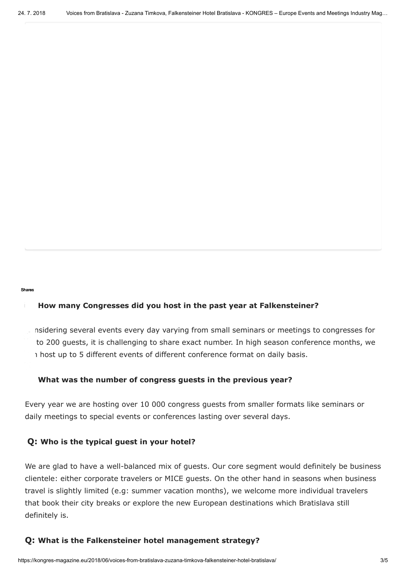#### Shares

高山

## **EXTER How many Congresses did you host in the past year at Falkensteiner?**

nsidering several events every day varying from small seminars or meetings to congresses for to 200 guests, it is challenging to share exact number. In high season conference months, we i host up to 5 different events of different conference format on daily basis.

#### **[Q:](javascript:void(0);) What was the number of congress guests in the previous year?**

Every year we are hosting over 10 000 congress guests from smaller formats like seminars or daily meetings to special events or conferences lasting over several days.

#### **Q: Who is the typical guest in your hotel?**

We are glad to have a well-balanced mix of guests. Our core segment would definitely be business clientele: either corporate travelers or MICE guests. On the other hand in seasons when business travel is slightly limited (e.g: summer vacation months), we welcome more individual travelers that book their city breaks or explore the new European destinations which Bratislava still definitely is.

#### **Q: What is the Falkensteiner hotel management strategy?**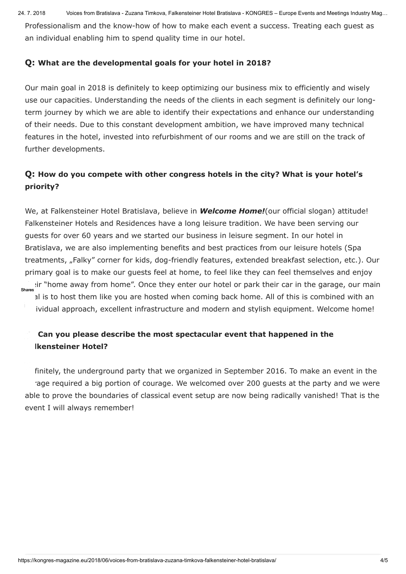24. 7. 2018 Voices from Bratislava - Zuzana Timkova, Falkensteiner Hotel Bratislava - KONGRES – Europe Events and Meetings Industry Mag…

Professionalism and the know-how of how to make each event a success. Treating each guest as an individual enabling him to spend quality time in our hotel.

# **Q: What are the developmental goals for your hotel in 2018?**

Our main goal in 2018 is definitely to keep optimizing our business mix to efficiently and wisely use our capacities. Understanding the needs of the clients in each segment is definitely our longterm journey by which we are able to identify their expectations and enhance our understanding of their needs. Due to this constant development ambition, we have improved many technical features in the hotel, invested into refurbishment of our rooms and we are still on the track of further developments.

# **Q: How do you compete with other congress hotels in the city? What is your hotel's priority?**

We, at Falkensteiner Hotel Bratislava, believe in *Welcome Home!*(our official slogan) attitude! Falkensteiner Hotels and Residences have a long leisure tradition. We have been serving our guests for over 60 years and we started our business in leisure segment. In our hotel in Bratislava, we are also implementing benefits and best practices from our leisure hotels (Spa treatments, "Falky" corner for kids, dog-friendly features, extended breakfast selection, etc.). Our primary goal is to make our guests feel at home, to feel like they can feel themselves and enjoy ir "home away from home". Once they enter our hotel or park their car in the garage, our main!<br>Shares al is to host them like you are hosted when coming back home. All of this is combined with an ividual approach, excellent infrastructure and modern and stylish equipment. Welcome home!

# **[Q:](javascript:void(0);) Can you please describe the most spectacular event that happened in the [Fal](javascript:void(0);)kensteiner Hotel?**

finitely, the underground party that we organized in September 2016. To make an event in the age required a big portion of courage. We welcomed over 200 guests at the party and we were able to prove the boundaries of classical event setup are now being radically vanished! That is the event I will always remember!